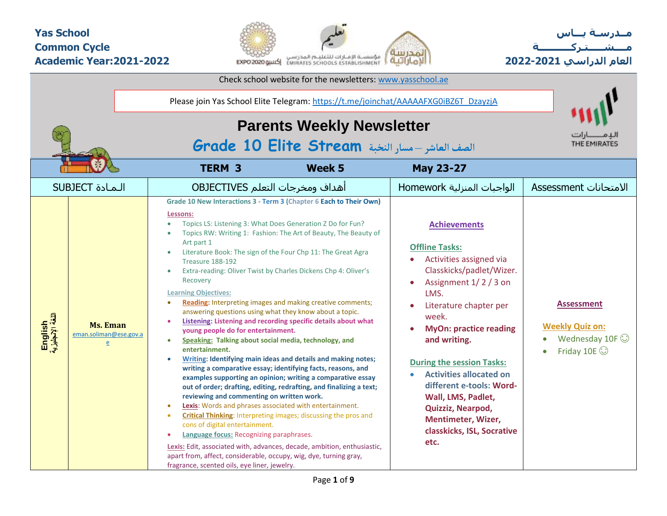### **Yas School Common Cycle Academic Year:2021-2022**



**مــدرسـة يـــاس مــــشـ ـــ ـتـ ركـ ــــــــــ ة العام الدراسي -2021 2022**

|                             |                                                | Check school website for the newsletters: www.yasschool.ae                                                                                                                                                                                                                                                                                                                                                                                                                                                                                                                                                                                                                                                                                                                                                                                                                                                                                                                                                                                                                                                                                                                                                                                                                                                                                                                                                                                                                                                                                                      |                                                                                                                                                                                                                                                                                                                                                                                                                                              |                                                                                            |
|-----------------------------|------------------------------------------------|-----------------------------------------------------------------------------------------------------------------------------------------------------------------------------------------------------------------------------------------------------------------------------------------------------------------------------------------------------------------------------------------------------------------------------------------------------------------------------------------------------------------------------------------------------------------------------------------------------------------------------------------------------------------------------------------------------------------------------------------------------------------------------------------------------------------------------------------------------------------------------------------------------------------------------------------------------------------------------------------------------------------------------------------------------------------------------------------------------------------------------------------------------------------------------------------------------------------------------------------------------------------------------------------------------------------------------------------------------------------------------------------------------------------------------------------------------------------------------------------------------------------------------------------------------------------|----------------------------------------------------------------------------------------------------------------------------------------------------------------------------------------------------------------------------------------------------------------------------------------------------------------------------------------------------------------------------------------------------------------------------------------------|--------------------------------------------------------------------------------------------|
|                             |                                                | Please join Yas School Elite Telegram: https://t.me/joinchat/AAAAAFXG0iBZ6T_DzayzjA<br><b>Parents Weekly Newsletter</b><br>الصف العاشر –مسار النخبة Grade 10 Elite Stream                                                                                                                                                                                                                                                                                                                                                                                                                                                                                                                                                                                                                                                                                                                                                                                                                                                                                                                                                                                                                                                                                                                                                                                                                                                                                                                                                                                       |                                                                                                                                                                                                                                                                                                                                                                                                                                              | THE EMIRATES                                                                               |
|                             |                                                | <b>TERM 3</b><br>Week 5                                                                                                                                                                                                                                                                                                                                                                                                                                                                                                                                                                                                                                                                                                                                                                                                                                                                                                                                                                                                                                                                                                                                                                                                                                                                                                                                                                                                                                                                                                                                         | <b>May 23-27</b>                                                                                                                                                                                                                                                                                                                                                                                                                             |                                                                                            |
|                             | <b>SUBJECT</b> المادة                          | أهداف ومخرجات التعلم OBJECTIVES                                                                                                                                                                                                                                                                                                                                                                                                                                                                                                                                                                                                                                                                                                                                                                                                                                                                                                                                                                                                                                                                                                                                                                                                                                                                                                                                                                                                                                                                                                                                 | الواجبات المنزلية Homework                                                                                                                                                                                                                                                                                                                                                                                                                   | الامتحانات Assessment                                                                      |
| English<br>اللغة الإنجليزية | <b>Ms. Eman</b><br>eman.soliman@ese.gov.a<br>e | Grade 10 New Interactions 3 - Term 3 (Chapter 6 Each to Their Own)<br>Lessons:<br>Topics LS: Listening 3: What Does Generation Z Do for Fun?<br>$\bullet$<br>Topics RW: Writing 1: Fashion: The Art of Beauty, The Beauty of<br>Art part 1<br>Literature Book: The sign of the Four Chp 11: The Great Agra<br>$\bullet$<br>Treasure 188-192<br>Extra-reading: Oliver Twist by Charles Dickens Chp 4: Oliver's<br>$\bullet$<br>Recovery<br><b>Learning Objectives:</b><br>Reading: Interpreting images and making creative comments;<br>answering questions using what they know about a topic.<br>Listening: Listening and recording specific details about what<br>young people do for entertainment.<br>Speaking: Talking about social media, technology, and<br>$\bullet$<br>entertainment.<br>Writing: Identifying main ideas and details and making notes;<br>writing a comparative essay; identifying facts, reasons, and<br>examples supporting an opinion; writing a comparative essay<br>out of order; drafting, editing, redrafting, and finalizing a text;<br>reviewing and commenting on written work.<br>Lexis: Words and phrases associated with entertainment.<br>$\bullet$<br><b>Critical Thinking:</b> Interpreting images; discussing the pros and<br>$\bullet$<br>cons of digital entertainment.<br>Language focus: Recognizing paraphrases.<br>Lexis: Edit, associated with, advances, decade, ambition, enthusiastic,<br>apart from, affect, considerable, occupy, wig, dye, turning gray,<br>fragrance, scented oils, eye liner, jewelry. | <b>Achievements</b><br><b>Offline Tasks:</b><br>Activities assigned via<br>Classkicks/padlet/Wizer.<br>Assignment 1/2/3 on<br>$\bullet$<br>LMS.<br>Literature chapter per<br>week.<br><b>MyOn: practice reading</b><br>and writing.<br><b>During the session Tasks:</b><br><b>Activities allocated on</b><br>different e-tools: Word-<br>Wall, LMS, Padlet,<br>Quizziz, Nearpod,<br>Mentimeter, Wizer,<br>classkicks, ISL, Socrative<br>etc. | <b>Assessment</b><br><b>Weekly Quiz on:</b><br>Wednesday 10F $\odot$<br>Friday 10E $\odot$ |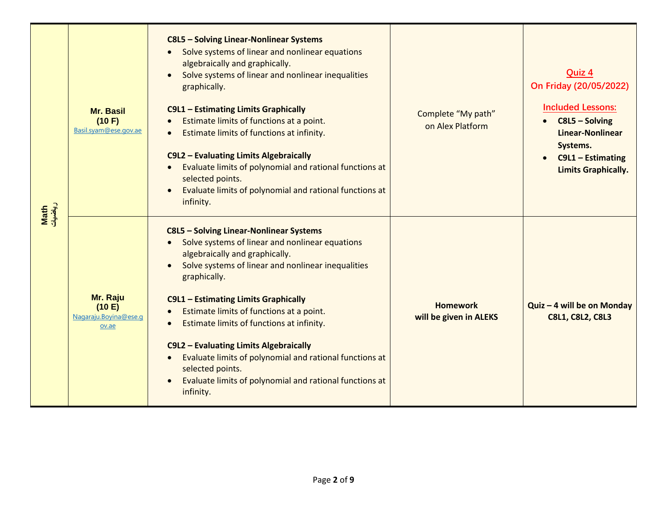| رياضيات<br>Math | <b>Mr. Basil</b><br>(10 F)<br>Basil.syam@ese.gov.ae  | C8L5 - Solving Linear-Nonlinear Systems<br>Solve systems of linear and nonlinear equations<br>algebraically and graphically.<br>Solve systems of linear and nonlinear inequalities<br>graphically.<br>C9L1 - Estimating Limits Graphically<br>Estimate limits of functions at a point.<br>Estimate limits of functions at infinity.<br>C9L2 - Evaluating Limits Algebraically<br>Evaluate limits of polynomial and rational functions at<br>selected points.<br>Evaluate limits of polynomial and rational functions at<br>infinity.                           | Complete "My path"<br>on Alex Platform    | Quiz 4<br>On Friday (20/05/2022)<br><b>Included Lessons:</b><br>$C8L5 - Solving$<br><b>Linear-Nonlinear</b><br>Systems.<br>C9L1 - Estimating<br><b>Limits Graphically.</b> |
|-----------------|------------------------------------------------------|----------------------------------------------------------------------------------------------------------------------------------------------------------------------------------------------------------------------------------------------------------------------------------------------------------------------------------------------------------------------------------------------------------------------------------------------------------------------------------------------------------------------------------------------------------------|-------------------------------------------|----------------------------------------------------------------------------------------------------------------------------------------------------------------------------|
|                 | Mr. Raju<br>(10 E)<br>Nagaraju.Bovina@ese.g<br>ov.ae | C8L5 - Solving Linear-Nonlinear Systems<br>Solve systems of linear and nonlinear equations<br>$\bullet$<br>algebraically and graphically.<br>Solve systems of linear and nonlinear inequalities<br>graphically.<br>C9L1 - Estimating Limits Graphically<br>Estimate limits of functions at a point.<br>Estimate limits of functions at infinity.<br>C9L2 - Evaluating Limits Algebraically<br>Evaluate limits of polynomial and rational functions at<br>$\bullet$<br>selected points.<br>Evaluate limits of polynomial and rational functions at<br>infinity. | <b>Homework</b><br>will be given in ALEKS | Quiz - 4 will be on Monday<br><b>C8L1, C8L2, C8L3</b>                                                                                                                      |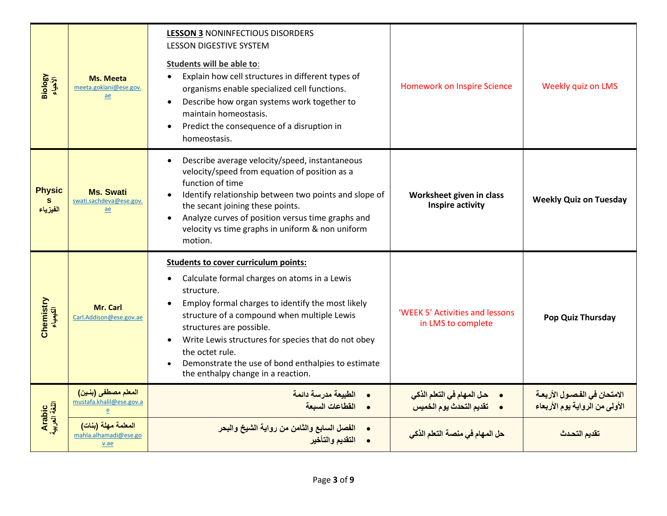| Biology                         | <b>Ms. Meeta</b><br>meeta.goklani@ese.gov.<br>ae     | <b>LESSON 3 NONINFECTIOUS DISORDERS</b><br><b>LESSON DIGESTIVE SYSTEM</b><br>Students will be able to:<br>Explain how cell structures in different types of<br>$\bullet$<br>organisms enable specialized cell functions.<br>Describe how organ systems work together to<br>$\bullet$<br>maintain homeostasis.<br>Predict the consequence of a disruption in<br>$\bullet$<br>homeostasis.                                                               | <b>Homework on Inspire Science</b>                                 | Weekly quiz on LMS                                                      |
|---------------------------------|------------------------------------------------------|--------------------------------------------------------------------------------------------------------------------------------------------------------------------------------------------------------------------------------------------------------------------------------------------------------------------------------------------------------------------------------------------------------------------------------------------------------|--------------------------------------------------------------------|-------------------------------------------------------------------------|
| <b>Physic</b><br>S.<br>الفيزياء | <b>Ms. Swati</b><br>swati.sachdeva@ese.gov.<br>ae    | Describe average velocity/speed, instantaneous<br>$\bullet$<br>velocity/speed from equation of position as a<br>function of time<br>Identify relationship between two points and slope of<br>the secant joining these points.<br>Analyze curves of position versus time graphs and<br>velocity vs time graphs in uniform & non uniform<br>motion.                                                                                                      | Worksheet given in class<br>Inspire activity                       | <b>Weekly Quiz on Tuesday</b>                                           |
| Chemistry<br>پیپاء<br>الکیمیاء  | Mr. Carl<br>Carl.Addison@ese.gov.ae                  | <b>Students to cover curriculum points:</b><br>Calculate formal charges on atoms in a Lewis<br>$\bullet$<br>structure.<br>Employ formal charges to identify the most likely<br>$\bullet$<br>structure of a compound when multiple Lewis<br>structures are possible.<br>Write Lewis structures for species that do not obey<br>$\bullet$<br>the octet rule.<br>Demonstrate the use of bond enthalpies to estimate<br>the enthalpy change in a reaction. | 'WEEK 5' Activities and lessons<br>in LMS to complete              | Pop Quiz Thursday                                                       |
|                                 | المعلم مصطفى (بنين)<br>mustafa.khalil@ese.gov.a<br>e | الطبيعة مدرسة دائمة<br>• القطاعات السبعة                                                                                                                                                                                                                                                                                                                                                                                                               | •       حل المهام في التعلم الذكي<br>•     تقديم التحدث يوم الخميس | الامتحان في الفصـول الأربعــة<br>الأول <i>ى من</i> الرواية يوم الأربعاء |
| Arabic<br>اللغة العربية         | المعلمة مهلة (بنات)<br>mahla.alhamadi@ese.go<br>v.ae | <mark>الفصل السابع والثامن من رواية الشيخ والبحر</mark><br>التقديم والتأخير                                                                                                                                                                                                                                                                                                                                                                            | حل المهام في منصة التعلم الذكي                                     | تقديم التحدث                                                            |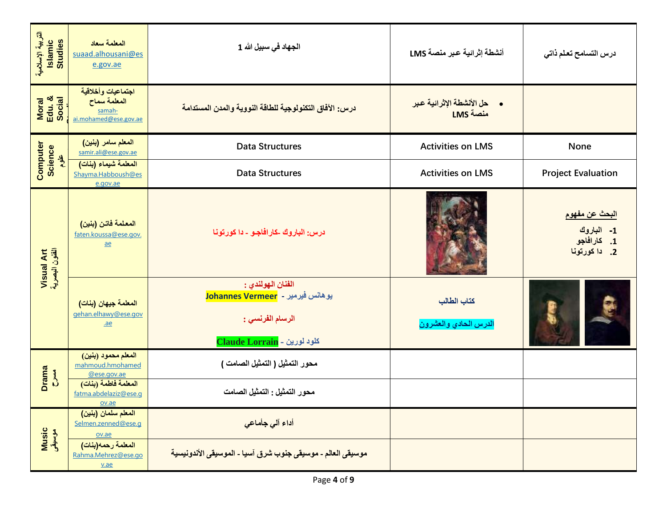| التربية الإسلامية<br>Islamic<br>Studies | المعلمة سعاد<br>suaad.alhousani@es<br>e.gov.ae                        | الجهاد في سبيل الله 1                                                                                    | أنشطة إثرائية عبر منصة LMS                  | درس التسامح تعلم ذاتى                                        |
|-----------------------------------------|-----------------------------------------------------------------------|----------------------------------------------------------------------------------------------------------|---------------------------------------------|--------------------------------------------------------------|
| Moral<br>Edu. &<br>Social               | اجتماعيات وأخلاقية<br>المعلمة سماح<br>samah-<br>ai.mohamed@ese.gov.ae | درس: الآفاق التكنولوجية للطاقة النووية والمدن المستدامة                                                  | •      حل الأنشطة الإثرائية عبر<br>LMS منصة |                                                              |
| Science<br>$\frac{9}{2}$                | المعلم سامر (بنين)<br>samir.ali@ese.gov.ae                            | <b>Data Structures</b>                                                                                   | <b>Activities on LMS</b>                    | None                                                         |
| Computer                                | المعلمة شيماء (بنات)<br>Shayma.Habboush@es<br>e.gov.ae                | <b>Data Structures</b>                                                                                   | <b>Activities on LMS</b>                    | <b>Project Evaluation</b>                                    |
| Visual Art<br>الفئون البصرية            | المعلمة فاتن (بنين)<br>faten.koussa@ese.gov.<br>$\underline{ae}$      | درس: الباروك -كارافاجـو - دا كورتونا                                                                     |                                             | البحث عن مفهوم<br>1- الباروك<br>1. كارافاجو<br>2. دا كورتونا |
|                                         | المعلمة جيهان (بنات)<br>gehan.elhawy@ese.gov<br>$a$ e                 | الفنان الهولندي :<br>یوهانس فیرمیر - Johannes Vermeer<br>الرسام الفرنسي :<br>Claude Lorrain - كلود لورين | كتاب الطالب<br>الدرس الحادي والعشرون        |                                                              |
| <b>Drama</b><br><b>AMC</b>              | المعلم محمود (بنين)<br>mahmoud.hmohamed<br>@ese.gov.ae                | محور التمثيل ( التمثيل الصامت )                                                                          |                                             |                                                              |
|                                         | المعلمة فاطمة (بنات)<br>fatma.abdelaziz@ese.q<br>ov.ae                | محور التمثيل : التمثيل الصامت                                                                            |                                             |                                                              |
| Music<br>موسیقی                         | المعلم سلمان (بنين)<br>Selmen.zenned@ese.q<br>ov.ae                   | أداع آلى جأماعى                                                                                          |                                             |                                                              |
|                                         | المعلمة رحمه(بنات)<br>Rahma.Mehrez@ese.go<br>$va$                     | موسيقى العالم ـ موسيقى جنوب شرق آسيا ـ الموسيقى الأندونيسية                                              |                                             |                                                              |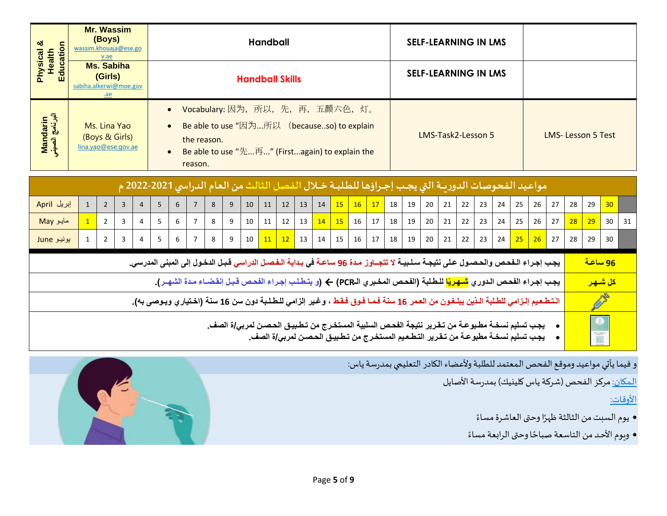| ఱ<br>Education<br>Health                                                                                                                                                                                   | wassim.khouaja@ese.go  | <b>Mr. Wassim</b><br>(Boys)<br>v.ae                   |              |                |   |                                     |                                                                                                                                                                |   |   |    | <b>Handball</b>        |                 |    |    |    |    |    |    |    | <b>SELF-LEARNING IN LMS</b> |    |    |    |    |    |    |    |                          |                |                      |    |
|------------------------------------------------------------------------------------------------------------------------------------------------------------------------------------------------------------|------------------------|-------------------------------------------------------|--------------|----------------|---|-------------------------------------|----------------------------------------------------------------------------------------------------------------------------------------------------------------|---|---|----|------------------------|-----------------|----|----|----|----|----|----|----|-----------------------------|----|----|----|----|----|----|----|--------------------------|----------------|----------------------|----|
| Physical                                                                                                                                                                                                   | sabiha.alkerwi@moe.gov | <b>Ms. Sabiha</b><br>(Girls)<br>.ae                   |              |                |   |                                     |                                                                                                                                                                |   |   |    | <b>Handball Skills</b> |                 |    |    |    |    |    |    |    | <b>SELF-LEARNING IN LMS</b> |    |    |    |    |    |    |    |                          |                |                      |    |
| Mandarin<br>البرنامج الصيني                                                                                                                                                                                |                        | Ms. Lina Yao<br>(Boys & Girls)<br>lina.yao@ese.gov.ae |              |                |   | $\bullet$<br>$\bullet$<br>$\bullet$ | Vocabulary: 因为, 所以, 先, 再, 五颜六色, 灯。<br>Be able to use "因为所以 (becauseso) to explain<br>the reason.<br>Be able to use "先再" (Firstagain) to explain the<br>reason. |   |   |    |                        |                 |    |    |    |    |    |    |    | LMS-Task2-Lesson 5          |    |    |    |    |    |    |    | <b>LMS-Lesson 5 Test</b> |                |                      |    |
| مواعيد الفحوصات الدورسة التي يجب إجـراؤها للطلبـة خـلال الفصل الثالث من العام الدراسي 2021-2022 م                                                                                                          |                        |                                                       |              |                |   |                                     |                                                                                                                                                                |   |   |    |                        |                 |    |    |    |    |    |    |    |                             |    |    |    |    |    |    |    |                          |                |                      |    |
| إبريل April                                                                                                                                                                                                | $\mathbf{1}$           | $\overline{2}$                                        | $\mathbf{3}$ | $\overline{4}$ | 5 | 6                                   | $\overline{7}$                                                                                                                                                 | 8 | 9 | 10 | 11                     | 12              | 13 | 14 | 15 | 16 | 17 | 18 | 19 | 20                          | 21 | 22 | 23 | 24 | 25 | 26 | 27 | 28                       | 29             | 30                   |    |
| مايو May                                                                                                                                                                                                   | $\overline{1}$         | $\overline{2}$                                        | 3            | $\overline{4}$ | 5 | 6                                   | $7\overline{ }$                                                                                                                                                | 8 | 9 | 10 | 11                     | 12              | 13 | 14 | 15 | 16 | 17 | 18 | 19 | 20                          | 21 | 22 | 23 | 24 | 25 | 26 | 27 | 28                       | 29             | 30 <sup>°</sup>      | 31 |
| يونيو June                                                                                                                                                                                                 | $\mathbf{1}$           | $\overline{2}$                                        | 3            | 4              | 5 | 6                                   | $\overline{7}$                                                                                                                                                 | 8 | 9 | 10 | 11                     | 12 <sup>7</sup> | 13 | 14 | 15 | 16 | 17 | 18 | 19 | 20                          | 21 | 22 | 23 | 24 | 25 | 26 | 27 | 28                       | 29             | 30                   |    |
|                                                                                                                                                                                                            |                        |                                                       |              |                |   |                                     | يجب إجراء الـفحص والحصول على نتيجـة سـلـبيـة لا تتجــاوز مـدة 96 ساعـة في بـداية الـفصـل الدراسي قـبـل الدخول إلى المبنى المدرسي.                              |   |   |    |                        |                 |    |    |    |    |    |    |    |                             |    |    |    |    |    |    |    |                          | <u>96 ساعة</u> |                      |    |
|                                                                                                                                                                                                            |                        |                                                       |              |                |   |                                     | يجب إجراء الفحص الدوري <mark>شهريًا</mark> للطلبة (الفحص المخبري الـPCR) ← (و يتطلب إجراء الفحص قبل إنقضـاء مـدة الشهـر).                                      |   |   |    |                        |                 |    |    |    |    |    |    |    |                             |    |    |    |    |    |    |    |                          |                | <mark>كل شىھر</mark> |    |
|                                                                                                                                                                                                            |                        |                                                       |              |                |   |                                     | الـتـطـعـيم إلـزامي للطـلبة الـذين يبلـغـون من العـمر 16 سنـة فـمـا فـوق فـقـط ، وغـير إلزامي للـطـلـبة دون سن 16 سنـة (اخـتياري ويـوصي بـ4).                  |   |   |    |                        |                 |    |    |    |    |    |    |    |                             |    |    |    |    |    |    |    |                          |                |                      |    |
| يجب تسليم نسخـة مطـبو عـة من تـقـرير نتيجة الفحـص السلبية المستخـرج من تـطـبيـق الحـصـن لمربى/ة الصف_<br>Y.<br>يجب تسليم نسخـة مطبوعـة من تـقـرير التـطـعـيم المستخـرج من تـطـبيـق الـحـصـن لمربـى/ة الصف_ |                        |                                                       |              |                |   |                                     |                                                                                                                                                                |   |   |    |                        |                 |    |    |    |    |    |    |    |                             |    |    |    |    |    |    |    |                          |                |                      |    |
| و فيما يأتي مواعيد وموقع الفحص المعتمد للطلبة ولأعضاء الكادر التعليمي بمدرسة ياس:<br>المكان: مركز الفحص (شركة ياس كلينيك) بمدرسة الأصايل                                                                   |                        |                                                       |              |                |   |                                     |                                                                                                                                                                |   |   |    |                        |                 |    |    |    |    |    |    |    |                             |    |    |    |    |    |    |    |                          |                |                      |    |

<u>الأوقات:</u>

- يوم السبت من الثالثة ظهرًا وحتى العاشرة مساءً ً
- وبوم الأحد من التاسعة صباحًا وحتى الرابعة مساءً ً<br>أ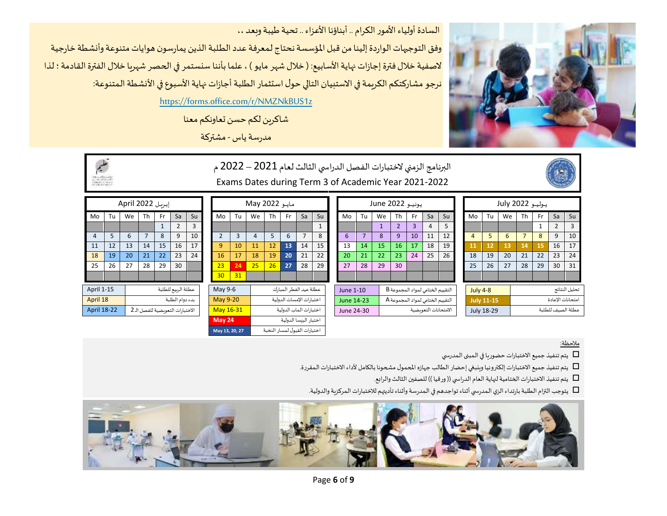#### السادة أولياء الأمور الكرام .. أبناؤنا الأعزاء .. تحية طيبة وبعد ،،

وفق التوجيهات الواردة إلينا من قبل المؤسسة نحتاج لمعرفة عدد الطلبة الذين يمارسون هوايات متنوعة وأنشطة خارجية لاصفية خلال فترة إجازات نهاية الأسابيع: ( خلال شهر مايو ) ، علما بأننا سنستمر في الحصر شهربا خلال الفترة القادمة ؛ لذا نرجو مشاركتكم الكريمة في الاستبيان التالي حول استثمار الطلبة أجازات نهاية الأسبوع في الأنشطة المتنوعة:

https://forms.office.com/r/NMZNkBUS1z

شاكرين لكم حسن تعاونكم معنا

مدرسةياس - مشتركة





البرنامج الزمني لاختبارات الفصل الدراسي الثالث لعام 2021 – 2022 م Exams Dates during Term 3 of Academic Year 2021-2022



|                    |    |    |      |                  |    |                                                                           | May 2022     |    |                     |                          |     |    |    |                                                | يونيو June 2022 |    |                                    |    |    |                  |    |                                  |   |                                         |                                          |     |    |                                      |
|--------------------|----|----|------|------------------|----|---------------------------------------------------------------------------|--------------|----|---------------------|--------------------------|-----|----|----|------------------------------------------------|-----------------|----|------------------------------------|----|----|------------------|----|----------------------------------|---|-----------------------------------------|------------------------------------------|-----|----|--------------------------------------|
| Tu                 | We | Th | - Fr | Sa               | Su |                                                                           | Mo           | Tu | We                  | Th                       | Fr. | Sa | Su |                                                | Mo              | Tu | We                                 | Th | Fr | Sa               | Su |                                  |   |                                         | Th                                       | Fr. | Sa | Su                                   |
|                    |    |    |      |                  | 3  |                                                                           |              |    |                     |                          |     |    |    |                                                |                 |    |                                    |    | 3  | 4                | 5  |                                  |   |                                         |                                          |     |    | 3                                    |
| 5                  | 6  |    | 8    |                  | 10 |                                                                           |              |    | 4                   |                          | 6   |    | 8  |                                                | 6               |    |                                    | 9  | 10 | 11               | 12 |                                  |   | 6                                       |                                          | 8   | 9  | 10                                   |
| 12                 | 13 | 14 | 15   | 16               | 17 |                                                                           | $\mathbf{q}$ | 10 | 11                  | 12                       | 13  | 14 | 15 |                                                | 13              | 14 | 15                                 | 16 | 17 | 18               | 19 |                                  |   | 13                                      | 14                                       | 15  | 16 | 17                                   |
| 19                 | 20 | 21 | 22   | 23               | 24 |                                                                           | 16           | 17 | 18                  | 19                       | 20  | 21 | 22 |                                                | 20              | 21 | 22                                 | 23 | 24 | 25               | 26 |                                  |   | 20                                      | 21                                       | 22  | 23 | 24                                   |
| 26                 | 27 | 28 | 29   | 30               |    |                                                                           | 23           | 24 | 25                  | 26                       | 27  | 28 | 29 |                                                | 27              | 28 | 29                                 | 30 |    |                  |    |                                  |   | 27                                      | 28                                       | 29  | 30 | 31                                   |
|                    |    |    |      |                  |    |                                                                           | 30           | 31 |                     |                          |     |    |    |                                                |                 |    |                                    |    |    |                  |    |                                  |   |                                         |                                          |     |    |                                      |
| April 1-15         |    |    |      |                  |    |                                                                           |              |    |                     |                          |     |    |    |                                                |                 |    |                                    |    |    |                  |    |                                  |   |                                         |                                          |     |    | تحليل النتائج                        |
| April 18           |    |    |      |                  |    |                                                                           |              |    |                     | اختبارات الإمسات الدولية |     |    |    | التقييم الختامي لمواد المجموعة A<br>June 14-23 |                 |    | <b>July 11-15</b>                  |    |    | امتحانات الاعادة |    |                                  |   |                                         |                                          |     |    |                                      |
| <b>April 18-22</b> |    |    |      |                  |    |                                                                           | May 16-31    |    |                     | اختبارات الماب الدولية   |     |    |    |                                                |                 |    | الامتحانات التعويضية<br>June 24-30 |    |    |                  |    |                                  |   |                                         |                                          |     |    |                                      |
|                    |    |    |      | إبريل April 2022 |    | عطلة الرئيع للطلبة<br>بدء دوام الطلبة<br>الاختبارات التعويضية للفصل الـ 2 |              |    | May 9-6<br>May 9-20 |                          |     |    |    | عطلة عيد الفطر المبارك                         |                 |    | June 1-10                          |    |    |                  |    | التقييم الختامي لمواد المجموعة B | 4 | Mo<br>11<br>18<br>25<br><b>July 4-8</b> | Tu<br>We<br>12<br>19<br>26<br>July 18-29 |     |    | يوليو 2022 July<br>عطلة الصيف للطلبة |

|                   |    | مات May 2022   |                          |                              |    |              |  |  |  |  |  |  |
|-------------------|----|----------------|--------------------------|------------------------------|----|--------------|--|--|--|--|--|--|
| Mo                | Tu | We             | Th                       | Fr                           | Sa | Su           |  |  |  |  |  |  |
|                   |    |                |                          |                              |    | $\mathbf{1}$ |  |  |  |  |  |  |
| $\mathcal{P}$     | 3  | $\overline{4}$ | 5                        | 6                            | 7  | 8            |  |  |  |  |  |  |
| 9                 | 10 | 11             | 12                       | 13                           | 14 | 15           |  |  |  |  |  |  |
| 16                | 17 | 18             | 19                       | 20                           | 21 | 22           |  |  |  |  |  |  |
| 23                | 24 | 25             | 26                       | 27                           | 28 | 29           |  |  |  |  |  |  |
| 30                | 31 |                |                          |                              |    |              |  |  |  |  |  |  |
| May 9-6           |    |                |                          | عطلة عيد الفطر المبارك       |    |              |  |  |  |  |  |  |
| May 9-20          |    |                | اختبارات الإمسات الدولية |                              |    |              |  |  |  |  |  |  |
| May 16-31         |    |                | اختبارات الماب الدولية   |                              |    |              |  |  |  |  |  |  |
| May <sub>24</sub> |    |                | اختبار البىسا الدولية    |                              |    |              |  |  |  |  |  |  |
| May 13, 20, 27    |    |                |                          | اختبارات القبول لمسار النخبة |    |              |  |  |  |  |  |  |

|                                  |                                                        | إبريل April 2022 |    |              |                |                |  |  |  |  |  |  |
|----------------------------------|--------------------------------------------------------|------------------|----|--------------|----------------|----------------|--|--|--|--|--|--|
| Mo                               | Tu                                                     | We               | Th | Fr           | Sa             | Su             |  |  |  |  |  |  |
|                                  |                                                        |                  |    | $\mathbf{1}$ | $\overline{2}$ | $\overline{3}$ |  |  |  |  |  |  |
| 4                                | $\overline{7}$<br>5<br>9<br>10<br>6<br>8               |                  |    |              |                |                |  |  |  |  |  |  |
| 11                               | 12<br>13<br>14<br>15<br>16<br>17                       |                  |    |              |                |                |  |  |  |  |  |  |
| 18                               | 19                                                     | 20               | 21 | 22           | 23             | 24             |  |  |  |  |  |  |
| 25                               | 26                                                     | 27               | 28 | 29           | 30             |                |  |  |  |  |  |  |
|                                  |                                                        |                  |    |              |                |                |  |  |  |  |  |  |
| April 1-15<br>عطلة الربيع للطلبة |                                                        |                  |    |              |                |                |  |  |  |  |  |  |
|                                  | بدء دوام الطلبة<br>April 18                            |                  |    |              |                |                |  |  |  |  |  |  |
|                                  | <b>April 18-22</b><br>الاختبارات التعويضية للفصل الـ 2 |                  |    |              |                |                |  |  |  |  |  |  |

مالحظة:

يتم تنفيذ جميع الاختبارات حضوريا في المبنى المدرسي  $\Box$ 

 $\Box$ يتم تنفيذ جميع الاختبارات إلكترونيا وينبغي إحضار الطالب جهازه المحمول مشحونا بالكامل لأداء الاختبارات المقررة.

 $\Box$ يتم تنفيذ الاختبارات الختامية لنهاية العام الدراسي (( ورقيا )) للصفين الثالث والرابع.

 $\Box$ يتوجب التزام الطلبة بارتداء الزي الـمدرسي أثناء تواجدهم في الـمدرسة وأثناء تأديتهم للاختبارات الـمركزية والدولية.

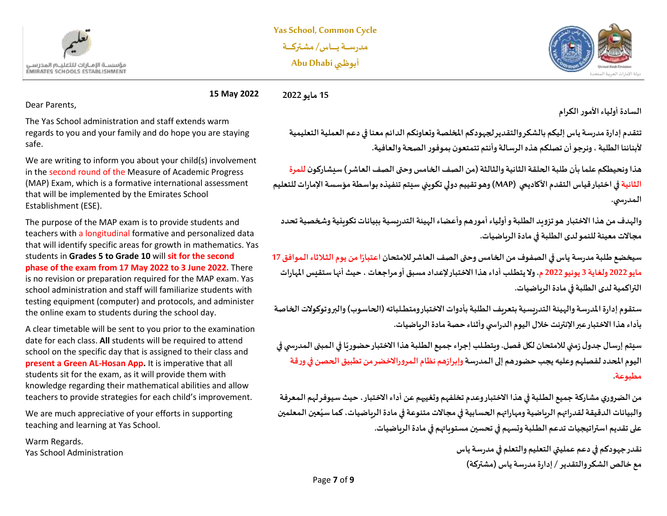



**15 May 2022 15 مايو 2022**

Dear Parents,

The Yas School administration and staff extends warm regards to you and your family and do hope you are staying safe.

We are writing to inform you about your child(s) involvement in the second round of the Measure of Academic Progress (MAP) Exam, which is a formative international assessment that will be implemented by the Emirates School Establishment (ESE).

The purpose of the MAP exam is to provide students and teachers with a longitudinal formative and personalized data that will identify specific areas for growth in mathematics. Yas students in **Grades 5 to Grade 10** will **sit for the second phase of the exam from 17 May 2022 to 3 June 2022.** There is no revision or preparation required for the MAP exam. Yas school administration and staff will familiarize students with testing equipment (computer) and protocols, and administer the online exam to students during the school day.

A clear timetable will be sent to you prior to the examination date for each class. **All** students will be required to attend school on the specific day that is assigned to their class and **present a Green AL-Hosan App.** It is imperative that all students sit for the exam, as it will provide them with knowledge regarding their mathematical abilities and allow teachers to provide strategies for each child's improvement.

We are much appreciative of your efforts in supporting teaching and learning at Yas School.

Warm Regards. Yas School Administration **السادة أولياءاألمورالكرام** 

**تتقدم إدارةمدرسةياس إليكم بالشكروالتقديرلجهودكم املخلصة وتعاونكم الدائم معنا في دعم العملية التعليمية ألبنائنا الطلبة،ونرجوأن تصلكم هذهالرسالةوأنتم تتمتعون بموفورالصحةوالعافية.** 

**هذاونحيطكم علما بأن طـلبةالحلقةالثانيةوالثالثة)من الصف الخامس وحتىالصف العاشر( سيشاركون للمرة الثانية في اختبار قياس التقدم األكاديمي (MAP (وهوتقييم دوليتكويني سيتم تنفيذهبواسطةمؤسسةاإلماراتللتعليم الـمدرس ي.**

**والهدف من هذا االختبار هوتزويد الطـلبةوأولياءأمورهم و أعضاءالهيئةالتدريسيةببيانات تكوينية وشخصية تحدد مجاالت معينة للنمو لدى الطـلبة في مادة الرياضيات.** 

**ً**سيخضع طلبة مدرسة ياس في الصفوف من الخامس وحتى الصف العاشر للامتحان اعتبارًا من يوم الثلاثاء الموافق 17 **مايو 2022 ولغاية 3 يونيو 2022 م . و ال يتطــلب أداء هذا االختبار إلعداد مسبق أو مراجعات ، حيثأنهاستقيس املهارات التراكمية لدى الطلبة في مادة الرياضيات.** 

**ستقوم إدارةاملدرسةوالهيئةالتدريسيةبتعريف الطـلبةبأدوات االختبار ومتطـــلباته )الحاسوب( والبروتوكوالت الخاصة بأداء هذا االختبار عبر اإل نترنتخالل اليوم الدراس يوأثناء حصة مادة الرياضيات.** 

**ً**سيتم إرسال جدول زمني للامتحان لكل فصل. ويتطـلب إجراء جميع الطلبة هذا الاختبار حضوريًا في المبنى المدرسي في **اليوم املحدد لفصلهم و عليهيجبحضورهم إلىالـمدرسةوإبرازهم نظام الـمروراالخضرمن تطبيق الحصن فيورقة مطبوعة.**

**من الضروري مشاركة جميع الطــلبةفي هذا االختبار وعدم تخلفهم وتغيبهم عن أداء االختبار، حيث سيوفر لهم الـمعرفة ُ**والبيانات الدقيقة لقدراتهم الرباضية ومهاراتهم الحسابية في مجالات متنوعة في مادة الرباضيات، كما سيُعين المعلمين **على تقديم استراتيجيات تدعم الطــلبة وتسهم في تحسين مستو ياتهم في مادة الرياضيات.** 

> **نقدر جهودكم في دعم عمليتي التعليم والتعلم فيمدرسةياس مع خالص الشكر والتقدير /إدارةمدرسةياس )مشتركة(**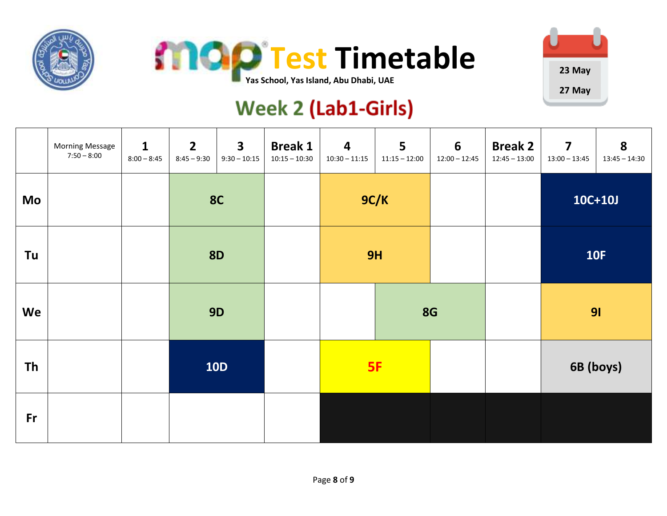





# **Week 2 (Lab1-Girls)**

|           | <b>Morning Message</b><br>$7:50 - 8:00$ | $\mathbf{1}$<br>$8:00 - 8:45$ | $\overline{2}$<br>$8:45 - 9:30$ | $\overline{\mathbf{3}}$<br>$9:30 - 10:15$ | <b>Break 1</b><br>$10:15 - 10:30$ | $\overline{\mathbf{4}}$<br>$10:30 - 11:15$ | 5<br>$11:15 - 12:00$ | $6\phantom{1}$<br>$12:00 - 12:45$ | <b>Break 2</b><br>$12:45 - 13:00$ | $\overline{\mathbf{z}}$<br>$13:00 - 13:45$ | 8<br>$13:45 - 14:30$ |
|-----------|-----------------------------------------|-------------------------------|---------------------------------|-------------------------------------------|-----------------------------------|--------------------------------------------|----------------------|-----------------------------------|-----------------------------------|--------------------------------------------|----------------------|
| Mo        |                                         |                               |                                 | <b>8C</b>                                 |                                   |                                            | 9C/K                 |                                   |                                   |                                            | $10C+10J$            |
| Tu        |                                         |                               |                                 | <b>8D</b>                                 |                                   |                                            | 9H                   |                                   |                                   |                                            | <b>10F</b>           |
| We        |                                         |                               |                                 | <b>9D</b>                                 |                                   |                                            |                      | <b>8G</b>                         |                                   | 91                                         |                      |
| <b>Th</b> |                                         |                               |                                 | <b>10D</b>                                |                                   |                                            | 5F                   |                                   |                                   | 6B (boys)                                  |                      |
| Fr        |                                         |                               |                                 |                                           |                                   |                                            |                      |                                   |                                   |                                            |                      |